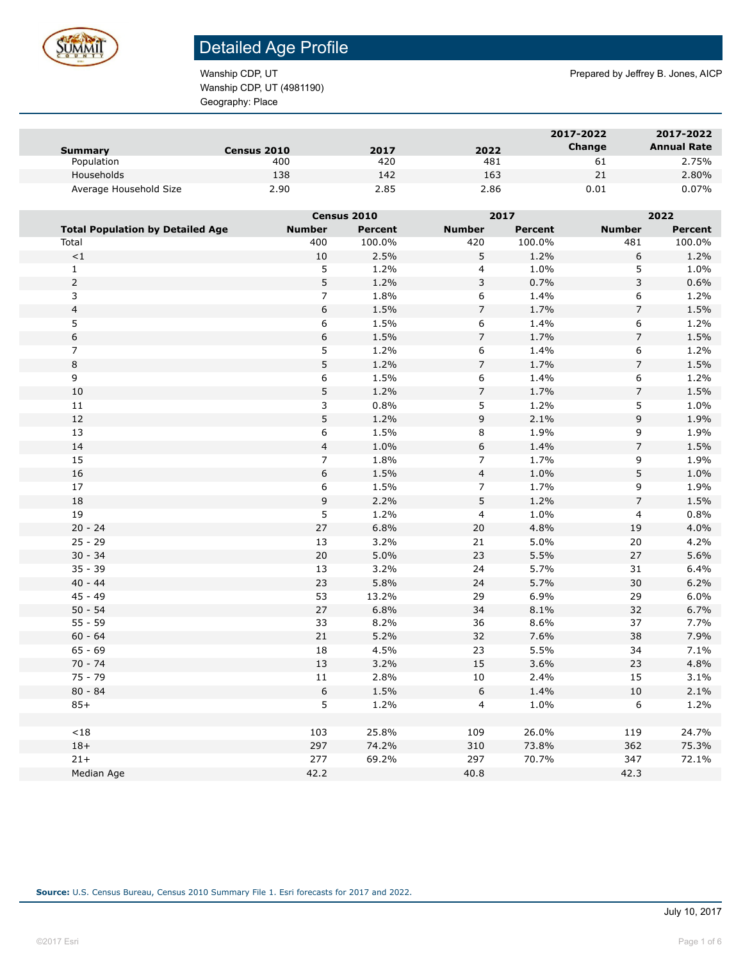

Wanship CDP, UT (4981190) Geography: Place

Wanship CDP, UT **Prepared by Jeffrey B. Jones, AICP** Prepared by Jeffrey B. Jones, AICP

| Summary                | <b>Census 2010</b> | 2017 | 2022 | 2017-2022<br>Change | 2017-2022<br><b>Annual Rate</b> |
|------------------------|--------------------|------|------|---------------------|---------------------------------|
| Population             | 400                | 420  | 481  | -61                 | 2.75%                           |
| Households             | 138                | 142  | 163  | 21                  | 2.80%                           |
| Average Household Size | 2.90               | 2.85 | 2.86 | 0.01                | 0.07%                           |

|                         |                                         | Census 2010             |                | 2017             |                | 2022           |                |
|-------------------------|-----------------------------------------|-------------------------|----------------|------------------|----------------|----------------|----------------|
|                         | <b>Total Population by Detailed Age</b> | <b>Number</b>           | <b>Percent</b> | <b>Number</b>    | <b>Percent</b> | <b>Number</b>  | <b>Percent</b> |
| Total                   |                                         | 400                     | 100.0%         | 420              | 100.0%         | 481            | 100.0%         |
|                         | $\!<\!1$                                | 10                      | 2.5%           | 5                | 1.2%           | 6              | 1.2%           |
| $\mathbf{1}$            |                                         | 5                       | 1.2%           | $\overline{4}$   | 1.0%           | 5              | 1.0%           |
| $\overline{2}$          |                                         | 5                       | 1.2%           | 3                | 0.7%           | 3              | 0.6%           |
|                         | 3                                       | $\overline{7}$          | 1.8%           | 6                | 1.4%           | 6              | 1.2%           |
| $\overline{\mathbf{4}}$ |                                         | 6                       | 1.5%           | $\overline{7}$   | 1.7%           | $\overline{7}$ | 1.5%           |
| 5                       |                                         | 6                       | 1.5%           | 6                | 1.4%           | 6              | 1.2%           |
| 6                       |                                         | 6                       | 1.5%           | $\overline{7}$   | 1.7%           | $\overline{7}$ | 1.5%           |
| $\overline{7}$          |                                         | 5                       | 1.2%           | 6                | 1.4%           | 6              | 1.2%           |
| 8                       |                                         | 5                       | 1.2%           | $\overline{7}$   | 1.7%           | $\overline{7}$ | 1.5%           |
| $\overline{9}$          |                                         | 6                       | 1.5%           | $\,$ 6 $\,$      | 1.4%           | 6              | 1.2%           |
|                         | 10                                      | 5                       | 1.2%           | $\overline{7}$   | 1.7%           | $\overline{7}$ | 1.5%           |
|                         | 11                                      | 3                       | 0.8%           | 5                | 1.2%           | 5              | 1.0%           |
|                         | 12                                      | 5                       | 1.2%           | 9                | 2.1%           | 9              | 1.9%           |
|                         | 13                                      | 6                       | 1.5%           | 8                | 1.9%           | 9              | 1.9%           |
|                         | 14                                      | $\overline{\mathbf{4}}$ | 1.0%           | $\boldsymbol{6}$ | 1.4%           | $\overline{7}$ | 1.5%           |
|                         | 15                                      | $\overline{7}$          | 1.8%           | $\overline{7}$   | 1.7%           | 9              | 1.9%           |
|                         | 16                                      | 6                       | 1.5%           | $\overline{4}$   | 1.0%           | 5              | 1.0%           |
|                         | 17                                      | 6                       | 1.5%           | $\overline{7}$   | 1.7%           | 9              | 1.9%           |
|                         | $18\,$                                  | 9                       | 2.2%           | 5                | 1.2%           | $\overline{7}$ | 1.5%           |
|                         | 19                                      | 5                       | 1.2%           | $\overline{4}$   | 1.0%           | 4              | 0.8%           |
|                         | $20 - 24$                               | 27                      | 6.8%           | 20               | 4.8%           | 19             | 4.0%           |
|                         | $25 - 29$                               | 13                      | 3.2%           | 21               | 5.0%           | 20             | 4.2%           |
|                         | $30 - 34$                               | 20                      | 5.0%           | 23               | 5.5%           | 27             | 5.6%           |
|                         | $35 - 39$                               | 13                      | 3.2%           | 24               | 5.7%           | 31             | 6.4%           |
|                         | $40 - 44$                               | 23                      | 5.8%           | 24               | 5.7%           | 30             | 6.2%           |
|                         | $45 - 49$                               | 53                      | 13.2%          | 29               | 6.9%           | 29             | 6.0%           |
|                         | $50 - 54$                               | 27                      | 6.8%           | 34               | 8.1%           | 32             | 6.7%           |
|                         | $55 - 59$                               | 33                      | 8.2%           | 36               | 8.6%           | 37             | 7.7%           |
|                         | $60 - 64$                               | 21                      | 5.2%           | 32               | 7.6%           | 38             | 7.9%           |
|                         | $65 - 69$                               | 18                      | 4.5%           | 23               | 5.5%           | 34             | 7.1%           |
|                         | $70 - 74$                               | 13                      | 3.2%           | 15               | 3.6%           | 23             | 4.8%           |
|                         | $75 - 79$                               | $11\,$                  | 2.8%           | $10\,$           | 2.4%           | 15             | 3.1%           |
|                         | $80 - 84$                               | 6                       | 1.5%           | $\boldsymbol{6}$ | 1.4%           | $10\,$         | 2.1%           |
|                         | $85+$                                   | 5                       | 1.2%           | $\overline{4}$   | 1.0%           | 6              | 1.2%           |
|                         |                                         |                         |                |                  |                |                |                |
|                         | ${<}18$                                 | 103                     | 25.8%          | 109              | 26.0%          | 119            | 24.7%          |
|                         | $18+$                                   | 297                     | 74.2%          | 310              | 73.8%          | 362            | 75.3%          |
|                         | $21+$                                   | 277                     | 69.2%          | 297              | 70.7%          | 347            | 72.1%          |
|                         | Median Age                              | 42.2                    |                | 40.8             |                | 42.3           |                |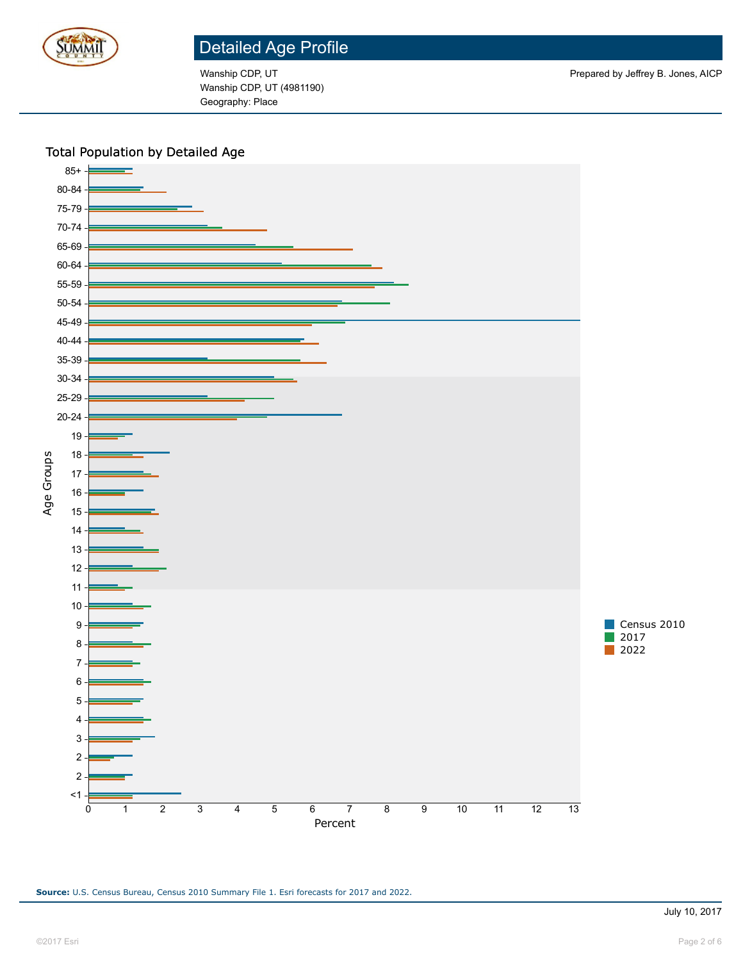

Wanship CDP, UT (4981190) Geography: Place

#### Total Population by Detailed Age



**Source:** U.S. Census Bureau, Census 2010 Summary File 1. Esri forecasts for 2017 and 2022.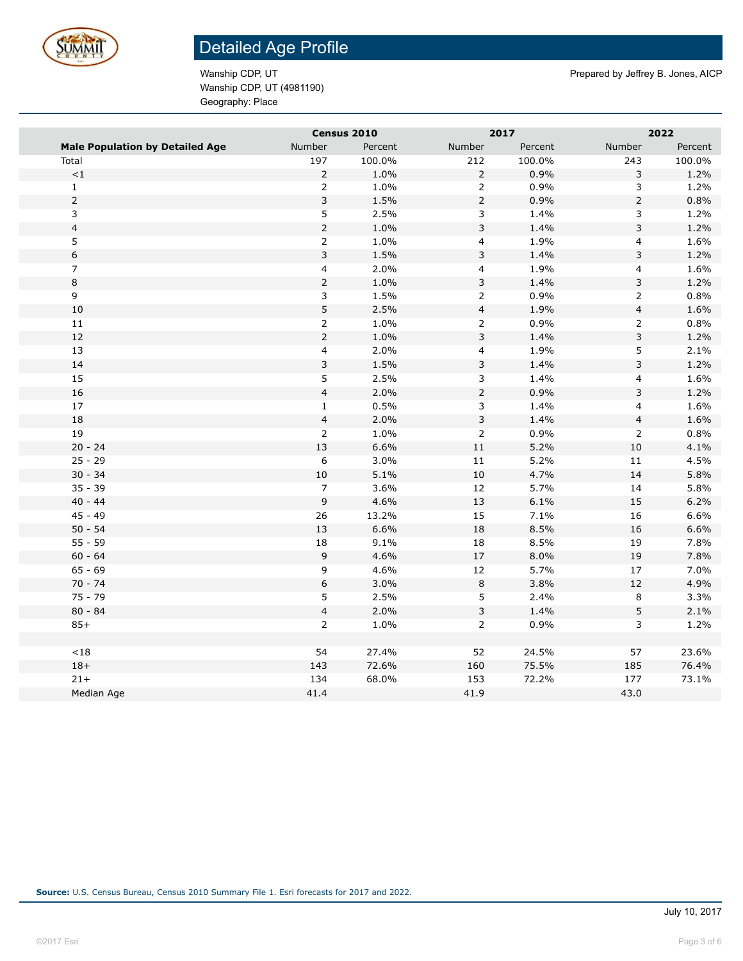

Wanship CDP, UT (4981190) Geography: Place

Wanship CDP, UT **Prepared by Jeffrey B. Jones, AICP** Prepared by Jeffrey B. Jones, AICP

|                                        |                  | Census 2010 | 2017                    |         |                         | 2022    |
|----------------------------------------|------------------|-------------|-------------------------|---------|-------------------------|---------|
| <b>Male Population by Detailed Age</b> | Number           | Percent     | Number                  | Percent | Number                  | Percent |
| Total                                  | 197              | 100.0%      | 212                     | 100.0%  | 243                     | 100.0%  |
| $\!<\!1$                               | $\overline{2}$   | 1.0%        | $\overline{2}$          | 0.9%    | 3                       | 1.2%    |
| $\mathbf{1}$                           | $\overline{2}$   | 1.0%        | $\overline{2}$          | 0.9%    | 3                       | 1.2%    |
| $\mathsf{2}\,$                         | 3                | 1.5%        | $\overline{2}$          | 0.9%    | $\overline{2}$          | 0.8%    |
| 3                                      | 5                | 2.5%        | 3                       | 1.4%    | 3                       | 1.2%    |
| $\overline{4}$                         | $\overline{2}$   | 1.0%        | 3                       | 1.4%    | 3                       | 1.2%    |
| 5                                      | $\overline{2}$   | 1.0%        | 4                       | 1.9%    | 4                       | 1.6%    |
| $\,$ 6 $\,$                            | $\overline{3}$   | 1.5%        | 3                       | 1.4%    | 3                       | 1.2%    |
| $\overline{7}$                         | $\overline{4}$   | 2.0%        | 4                       | 1.9%    | $\overline{\mathbf{4}}$ | 1.6%    |
| 8                                      | $\overline{2}$   | 1.0%        | 3                       | 1.4%    | 3                       | 1.2%    |
| 9                                      | 3                | 1.5%        | $\overline{2}$          | 0.9%    | $\overline{2}$          | 0.8%    |
| 10                                     | $\mathsf S$      | 2.5%        | $\overline{\mathbf{4}}$ | 1.9%    | $\overline{\mathbf{4}}$ | 1.6%    |
| 11                                     | $\overline{2}$   | 1.0%        | $\overline{2}$          | 0.9%    | $\overline{2}$          | 0.8%    |
| 12                                     | $\overline{2}$   | 1.0%        | 3                       | 1.4%    | 3                       | 1.2%    |
| 13                                     | $\overline{4}$   | 2.0%        | 4                       | 1.9%    | 5                       | 2.1%    |
| $14\,$                                 | 3                | 1.5%        | 3                       | 1.4%    | 3                       | 1.2%    |
| 15                                     | 5                | 2.5%        | 3                       | 1.4%    | 4                       | 1.6%    |
| 16                                     | $\overline{4}$   | 2.0%        | $\overline{2}$          | 0.9%    | 3                       | 1.2%    |
| 17                                     | $\mathbf{1}$     | 0.5%        | 3                       | 1.4%    | 4                       | 1.6%    |
| 18                                     | $\overline{4}$   | 2.0%        | 3                       | 1.4%    | $\overline{\mathbf{4}}$ | 1.6%    |
| 19                                     | $\overline{2}$   | 1.0%        | $\overline{2}$          | 0.9%    | $\overline{2}$          | 0.8%    |
| $20 - 24$                              | 13               | 6.6%        | $11\,$                  | 5.2%    | $10\,$                  | 4.1%    |
| $25 - 29$                              | 6                | 3.0%        | $11\,$                  | 5.2%    | 11                      | 4.5%    |
| $30 - 34$                              | $10$             | 5.1%        | 10                      | 4.7%    | 14                      | 5.8%    |
| $35 - 39$                              | $\overline{7}$   | 3.6%        | 12                      | 5.7%    | 14                      | 5.8%    |
| $40 - 44$                              | 9                | 4.6%        | $13\,$                  | 6.1%    | 15                      | 6.2%    |
| $45 - 49$                              | 26               | 13.2%       | 15                      | 7.1%    | 16                      | 6.6%    |
| $50 - 54$                              | 13               | 6.6%        | 18                      | 8.5%    | 16                      | 6.6%    |
| $55 - 59$                              | 18               | 9.1%        | 18                      | 8.5%    | 19                      | 7.8%    |
| $60 - 64$                              | 9                | 4.6%        | $17\,$                  | 8.0%    | 19                      | 7.8%    |
| $65 - 69$                              | 9                | 4.6%        | $12\,$                  | 5.7%    | 17                      | 7.0%    |
| $70 - 74$                              | $\boldsymbol{6}$ | 3.0%        | $\,8\,$                 | 3.8%    | 12                      | 4.9%    |
| $75 - 79$                              | 5                | 2.5%        | 5                       | 2.4%    | 8                       | 3.3%    |
| $80 - 84$                              | $\overline{4}$   | 2.0%        | 3                       | 1.4%    | 5                       | 2.1%    |
| $85+$                                  | $\overline{2}$   | 1.0%        | $\overline{2}$          | 0.9%    | 3                       | 1.2%    |
|                                        |                  |             |                         |         |                         |         |
| ${<}18$                                | 54               | 27.4%       | 52                      | 24.5%   | 57                      | 23.6%   |
| $18+$                                  | 143              | 72.6%       | 160                     | 75.5%   | 185                     | 76.4%   |
| $21+$                                  | 134              | 68.0%       | 153                     | 72.2%   | 177                     | 73.1%   |
| Median Age                             | 41.4             |             | 41.9                    |         | 43.0                    |         |
|                                        |                  |             |                         |         |                         |         |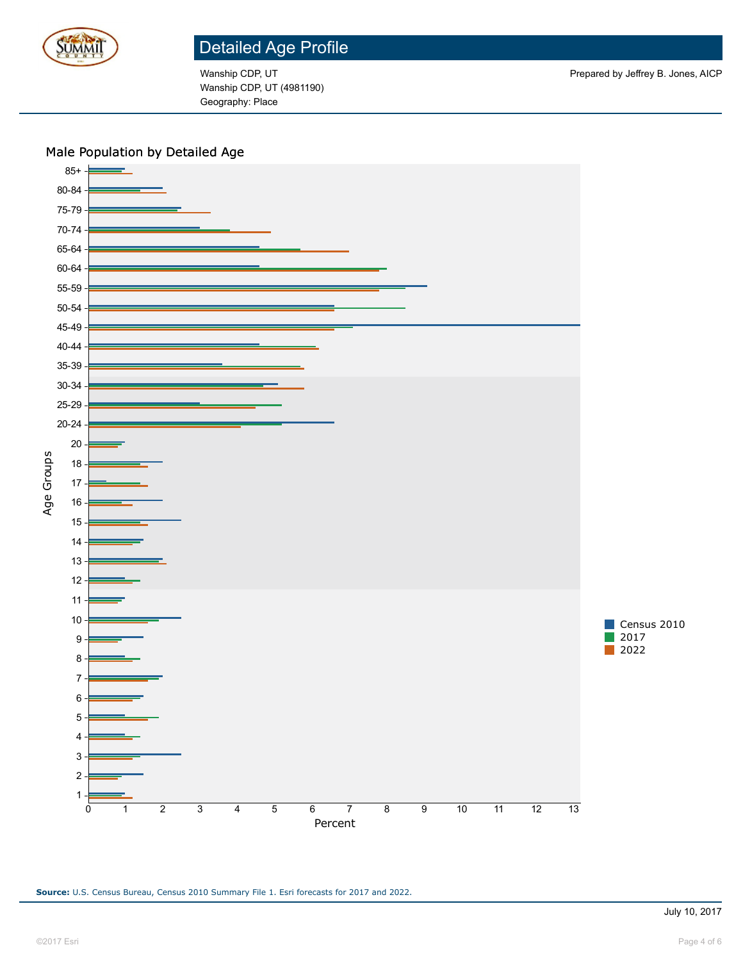

Wanship CDP, UT (4981190) Geography: Place

#### Male Population by Detailed Age

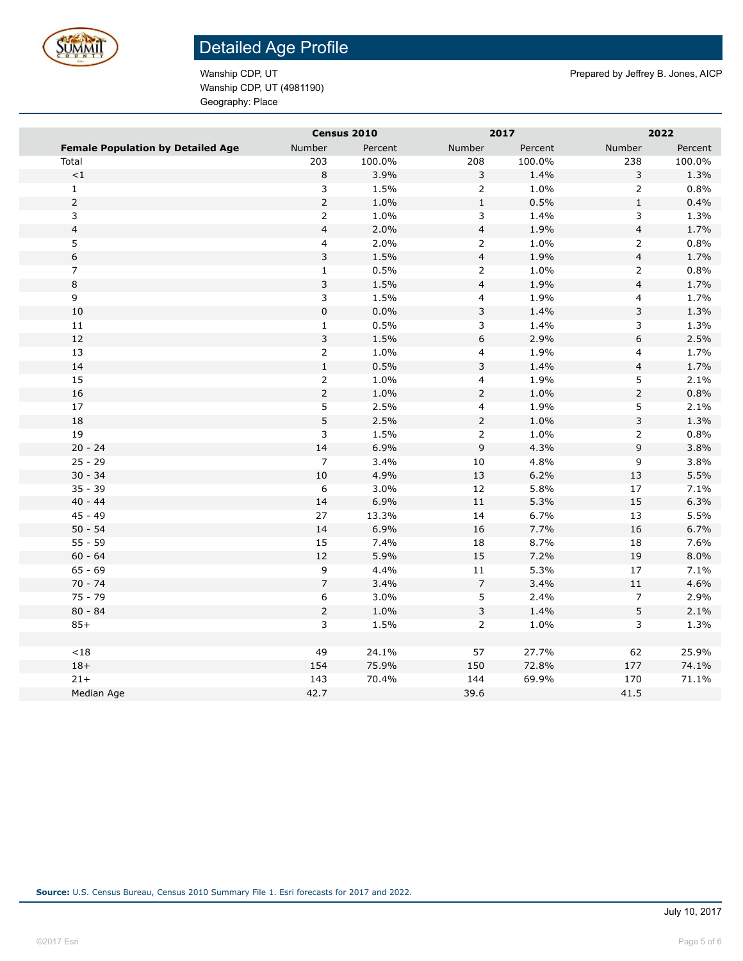

Wanship CDP, UT (4981190) Geography: Place

Wanship CDP, UT **Prepared by Jeffrey B. Jones, AICP** Prepared by Jeffrey B. Jones, AICP

|                                          |                         | Census 2010 |                          | 2017    |                         | 2022    |
|------------------------------------------|-------------------------|-------------|--------------------------|---------|-------------------------|---------|
| <b>Female Population by Detailed Age</b> | Number                  | Percent     | Number                   | Percent | Number                  | Percent |
| Total                                    | 203                     | 100.0%      | 208                      | 100.0%  | 238                     | 100.0%  |
| $\mathord{<}1$                           | $\,$ 8 $\,$             | 3.9%        | 3                        | 1.4%    | 3                       | 1.3%    |
| $\mathbf 1$                              | 3                       | 1.5%        | $\overline{2}$           | 1.0%    | $\overline{2}$          | 0.8%    |
| $\overline{2}$                           | $\overline{2}$          | 1.0%        | $\mathbf 1$              | 0.5%    | $\mathbf 1$             | 0.4%    |
| 3                                        | $\overline{2}$          | 1.0%        | 3                        | 1.4%    | 3                       | 1.3%    |
| $\overline{4}$                           | $\overline{\mathbf{4}}$ | 2.0%        | $\overline{\mathbf{4}}$  | 1.9%    | $\overline{\mathbf{4}}$ | 1.7%    |
| 5                                        | $\overline{\mathbf{4}}$ | 2.0%        | $\overline{2}$           | 1.0%    | $\overline{2}$          | 0.8%    |
| $\,$ 6 $\,$                              | 3                       | 1.5%        | $\overline{\mathbf{4}}$  | 1.9%    | $\overline{\mathbf{4}}$ | 1.7%    |
| $\overline{7}$                           | $\mathbf{1}$            | 0.5%        | $\overline{2}$           | 1.0%    | $\overline{2}$          | 0.8%    |
| $\,8\,$                                  | $\mathsf 3$             | 1.5%        | $\overline{\mathbf{4}}$  | 1.9%    | $\overline{\mathbf{4}}$ | 1.7%    |
| $\overline{9}$                           | 3                       | 1.5%        | $\overline{\mathbf{4}}$  | 1.9%    | 4                       | 1.7%    |
| 10                                       | $\mathsf 0$             | 0.0%        | 3                        | 1.4%    | 3                       | 1.3%    |
| 11                                       | $\mathbf{1}$            | 0.5%        | 3                        | 1.4%    | 3                       | 1.3%    |
| 12                                       | $\mathsf 3$             | 1.5%        | 6                        | 2.9%    | 6                       | 2.5%    |
| 13                                       | $\overline{2}$          | 1.0%        | $\overline{\mathbf{4}}$  | 1.9%    | 4                       | 1.7%    |
| 14                                       | $\mathbf 1$             | 0.5%        | 3                        | 1.4%    | $\overline{\mathbf{4}}$ | 1.7%    |
| 15                                       | $\overline{2}$          | 1.0%        | $\overline{\mathbf{4}}$  | 1.9%    | 5                       | 2.1%    |
| 16                                       | $\overline{2}$          | 1.0%        | $\overline{2}$           | 1.0%    | $\overline{2}$          | 0.8%    |
| $17\,$                                   | 5                       | 2.5%        | $\overline{\mathbf{4}}$  | 1.9%    | 5                       | 2.1%    |
| 18                                       | 5                       | 2.5%        | $\overline{2}$           | 1.0%    | 3                       | 1.3%    |
| 19                                       | 3                       | 1.5%        | $\overline{2}$           | 1.0%    | $\overline{2}$          | 0.8%    |
| $20 - 24$                                | 14                      | 6.9%        | 9                        | 4.3%    | 9                       | 3.8%    |
| $25 - 29$                                | $\overline{7}$          | 3.4%        | $10\,$                   | 4.8%    | 9                       | 3.8%    |
| $30 - 34$                                | $10\,$                  | 4.9%        | 13                       | 6.2%    | 13                      | 5.5%    |
| $35 - 39$                                | 6                       | 3.0%        | 12                       | 5.8%    | 17                      | 7.1%    |
| $40 - 44$                                | 14                      | 6.9%        | $11\,$                   | 5.3%    | 15                      | 6.3%    |
| $45 - 49$                                | 27                      | 13.3%       | 14                       | 6.7%    | 13                      | 5.5%    |
| $50 - 54$                                | 14                      | 6.9%        | 16                       | 7.7%    | 16                      | 6.7%    |
| $55 - 59$                                | 15                      | 7.4%        | 18                       | 8.7%    | 18                      | 7.6%    |
| $60 - 64$                                | $12\,$                  | 5.9%        | 15                       | 7.2%    | 19                      | 8.0%    |
| $65 - 69$                                | 9                       | 4.4%        | $11\,$                   | 5.3%    | $17\,$                  | 7.1%    |
| $70 - 74$                                | $\overline{7}$          | 3.4%        | $\overline{\phantom{a}}$ | 3.4%    | $11\,$                  | 4.6%    |
| $75 - 79$                                | 6                       | 3.0%        | 5                        | 2.4%    | $\overline{7}$          | 2.9%    |
| $80 - 84$                                | $\overline{2}$          | 1.0%        | 3                        | 1.4%    | 5                       | 2.1%    |
| $85+$                                    | 3                       | 1.5%        | $\overline{2}$           | 1.0%    | 3                       | 1.3%    |
|                                          |                         |             |                          |         |                         |         |
| < 18                                     | 49                      | 24.1%       | 57                       | 27.7%   | 62                      | 25.9%   |
| $18+$                                    | 154                     | 75.9%       | 150                      | 72.8%   | 177                     | 74.1%   |
| $21 +$                                   | 143                     | 70.4%       | 144                      | 69.9%   | 170                     | 71.1%   |
| Median Age                               | 42.7                    |             | 39.6                     |         | 41.5                    |         |